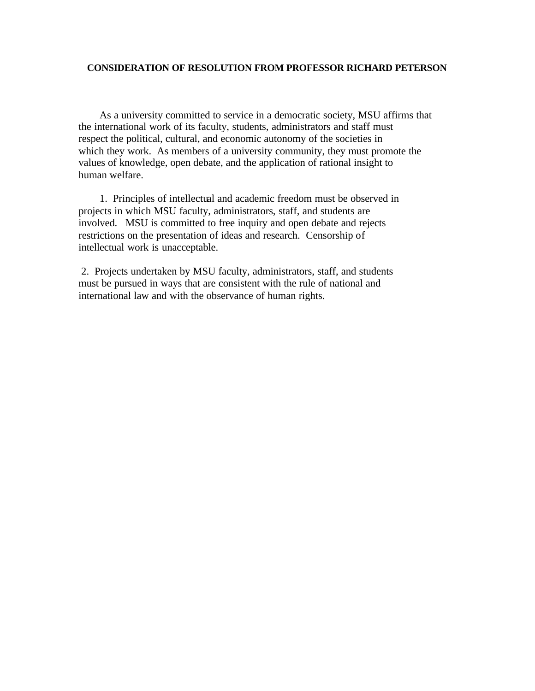## **CONSIDERATION OF RESOLUTION FROM PROFESSOR RICHARD PETERSON**

 As a university committed to service in a democratic society, MSU affirms that the international work of its faculty, students, administrators and staff must respect the political, cultural, and economic autonomy of the societies in which they work. As members of a university community, they must promote the values of knowledge, open debate, and the application of rational insight to human welfare.

 1. Principles of intellectual and academic freedom must be observed in projects in which MSU faculty, administrators, staff, and students are involved. MSU is committed to free inquiry and open debate and rejects restrictions on the presentation of ideas and research. Censorship of intellectual work is unacceptable.

2. Projects undertaken by MSU faculty, administrators, staff, and students must be pursued in ways that are consistent with the rule of national and international law and with the observance of human rights.